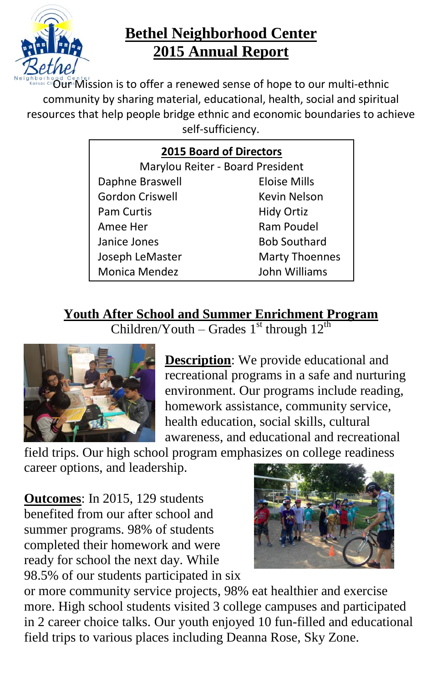

## **Bethel Neighborhood Center 2015 Annual Report**

 $\frac{a}{b}$  Mission is to offer a renewed sense of hope to our multi-ethnic community by sharing material, educational, health, social and spiritual resources that help people bridge ethnic and economic boundaries to achieve self-sufficiency.

| <b>2015 Board of Directors</b>   |                       |
|----------------------------------|-----------------------|
| Marylou Reiter - Board President |                       |
| Daphne Braswell                  | Eloise Mills          |
| <b>Gordon Criswell</b>           | Kevin Nelson          |
| <b>Pam Curtis</b>                | <b>Hidy Ortiz</b>     |
| Amee Her                         | Ram Poudel            |
| Janice Jones                     | <b>Bob Southard</b>   |
| Joseph LeMaster                  | <b>Marty Thoennes</b> |
| Monica Mendez                    | John Williams         |

### **Youth After School and Summer Enrichment Program**

Children/Youth – Grades  $1<sup>st</sup>$  through  $12<sup>th</sup>$ 



**Description**: We provide educational and recreational programs in a safe and nurturing environment. Our programs include reading, homework assistance, community service, health education, social skills, cultural awareness, and educational and recreational

field trips. Our high school program emphasizes on college readiness career options, and leadership.

**Outcomes**: In 2015, 129 students benefited from our after school and summer programs. 98% of students completed their homework and were ready for school the next day. While 98.5% of our students participated in six



or more community service projects, 98% eat healthier and exercise more. High school students visited 3 college campuses and participated in 2 career choice talks. Our youth enjoyed 10 fun-filled and educational field trips to various places including Deanna Rose, Sky Zone.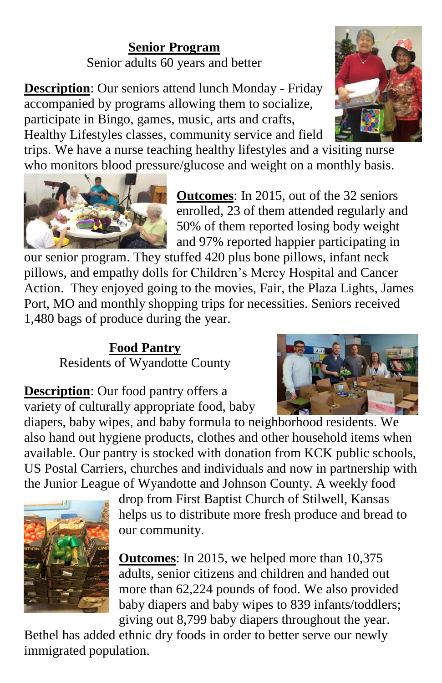### **Senior Program** Senior adults 60 years and better

**Description**: Our seniors attend lunch Monday - Friday accompanied by programs allowing them to socialize, participate in Bingo, games, music, arts and crafts, Healthy Lifestyles classes, community service and field

trips. We have a nurse teaching healthy lifestyles and a visiting nurse who monitors blood pressure/glucose and weight on a monthly basis.



**Outcomes**: In 2015, out of the 32 seniors enrolled, 23 of them attended regularly and 50% of them reported losing body weight and 97% reported happier participating in

our senior program. They stuffed 420 plus bone pillows, infant neck pillows, and empathy dolls for Children's Mercy Hospital and Cancer Action. They enjoyed going to the movies, Fair, the Plaza Lights, James Port, MO and monthly shopping trips for necessities. Seniors received 1,480 bags of produce during the year.

## **Food Pantry** Residents of Wyandotte County



**Description**: Our food pantry offers a variety of culturally appropriate food, baby

diapers, baby wipes, and baby formula to neighborhood residents. We also hand out hygiene products, clothes and other household items when available. Our pantry is stocked with donation from KCK public schools, US Postal Carriers, churches and individuals and now in partnership with the Junior League of Wyandotte and Johnson County. A weekly food



drop from First Baptist Church of Stilwell, Kansas helps us to distribute more fresh produce and bread to our community.

**Outcomes**: In 2015, we helped more than 10,375 adults, senior citizens and children and handed out more than 62,224 pounds of food. We also provided baby diapers and baby wipes to 839 infants/toddlers; giving out 8,799 baby diapers throughout the year.

Bethel has added ethnic dry foods in order to better serve our newly immigrated population.

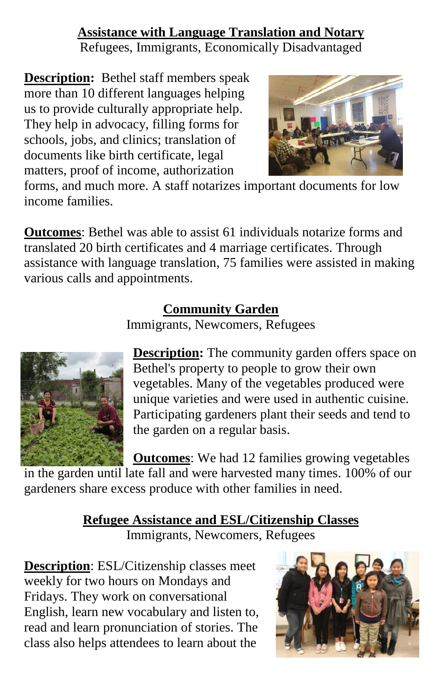### **Assistance with Language Translation and Notary**

Refugees, Immigrants, Economically Disadvantaged

**Description:** Bethel staff members speak more than 10 different languages helping us to provide culturally appropriate help. They help in advocacy, filling forms for schools, jobs, and clinics; translation of documents like birth certificate, legal matters, proof of income, authorization



forms, and much more. A staff notarizes important documents for low income families.

**Outcomes**: Bethel was able to assist 61 individuals notarize forms and translated 20 birth certificates and 4 marriage certificates. Through assistance with language translation, 75 families were assisted in making various calls and appointments.

## **Community Garden**

Immigrants, Newcomers, Refugees



**Description:** The community garden offers space on Bethel's property to people to grow their own vegetables. Many of the vegetables produced were unique varieties and were used in authentic cuisine. Participating gardeners plant their seeds and tend to the garden on a regular basis.

**Outcomes**: We had 12 families growing vegetables in the garden until late fall and were harvested many times. 100% of our gardeners share excess produce with other families in need.

# **Refugee Assistance and ESL/Citizenship Classes**

Immigrants, Newcomers, Refugees

**Description**: ESL/Citizenship classes meet weekly for two hours on Mondays and Fridays. They work on conversational English, learn new vocabulary and listen to, read and learn pronunciation of stories. The class also helps attendees to learn about the

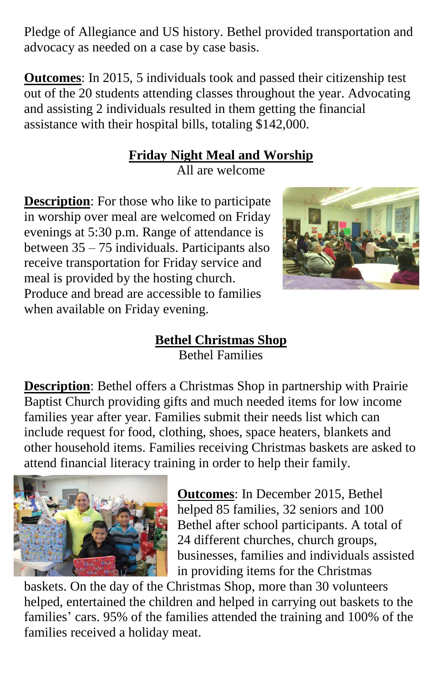Pledge of Allegiance and US history. Bethel provided transportation and advocacy as needed on a case by case basis.

**Outcomes**: In 2015, 5 individuals took and passed their citizenship test out of the 20 students attending classes throughout the year. Advocating and assisting 2 individuals resulted in them getting the financial assistance with their hospital bills, totaling \$142,000.

## **Friday Night Meal and Worship**

All are welcome

**Description**: For those who like to participate in worship over meal are welcomed on Friday evenings at 5:30 p.m. Range of attendance is between 35 – 75 individuals. Participants also receive transportation for Friday service and meal is provided by the hosting church. Produce and bread are accessible to families when available on Friday evening.



#### **Bethel Christmas Shop** Bethel Families

**Description**: Bethel offers a Christmas Shop in partnership with Prairie Baptist Church providing gifts and much needed items for low income families year after year. Families submit their needs list which can include request for food, clothing, shoes, space heaters, blankets and other household items. Families receiving Christmas baskets are asked to attend financial literacy training in order to help their family.



**Outcomes**: In December 2015, Bethel helped 85 families, 32 seniors and 100 Bethel after school participants. A total of 24 different churches, church groups, businesses, families and individuals assisted in providing items for the Christmas

baskets. On the day of the Christmas Shop, more than 30 volunteers helped, entertained the children and helped in carrying out baskets to the families' cars. 95% of the families attended the training and 100% of the families received a holiday meat.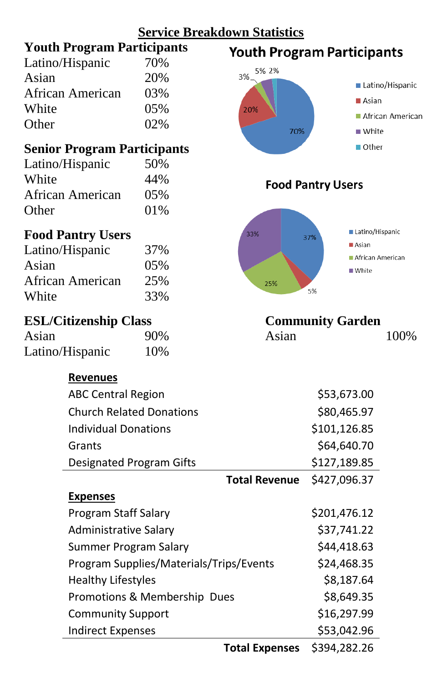

**Total Expenses** \$394,282.26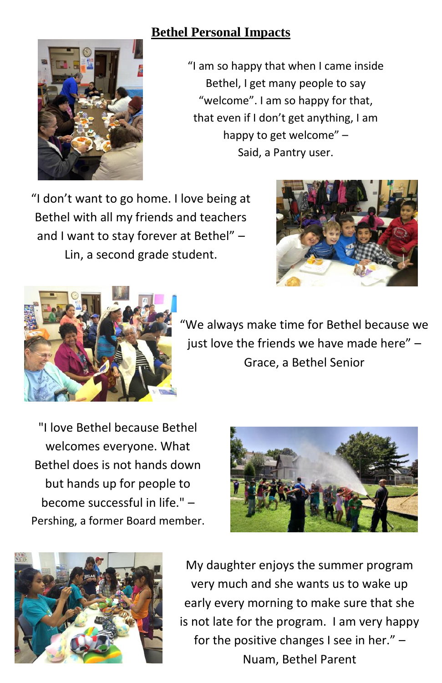### **Bethel Personal Impacts**



"I am so happy that when I came inside Bethel, I get many people to say "welcome". I am so happy for that, that even if I don't get anything, I am happy to get welcome" – Said, a Pantry user.

"I don't want to go home. I love being at Bethel with all my friends and teachers and I want to stay forever at Bethel" – Lin, a second grade student.





"We always make time for Bethel because we just love the friends we have made here" – Grace, a Bethel Senior

"I love Bethel because Bethel welcomes everyone. What Bethel does is not hands down but hands up for people to become successful in life." – Pershing, a former Board member.





My daughter enjoys the summer program very much and she wants us to wake up early every morning to make sure that she is not late for the program. I am very happy for the positive changes I see in her." – Nuam, Bethel Parent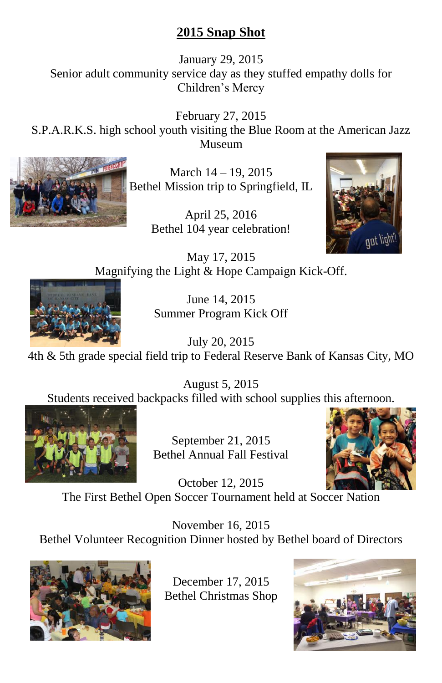### **2015 Snap Shot**

January 29, 2015 Senior adult community service day as they stuffed empathy dolls for Children's Mercy

February 27, 2015 S.P.A.R.K.S. high school youth visiting the Blue Room at the American Jazz Museum



March 14 – 19, 2015 Bethel Mission trip to Springfield, IL

> April 25, 2016 Bethel 104 year celebration!



May 17, 2015 Magnifying the Light & Hope Campaign Kick-Off.



June 14, 2015 Summer Program Kick Off

July 20, 2015 4th & 5th grade special field trip to Federal Reserve Bank of Kansas City, MO

August 5, 2015 Students received backpacks filled with school supplies this afternoon.



September 21, 2015 Bethel Annual Fall Festival



October 12, 2015 The First Bethel Open Soccer Tournament held at Soccer Nation

November 16, 2015 Bethel Volunteer Recognition Dinner hosted by Bethel board of Directors



December 17, 2015 Bethel Christmas Shop